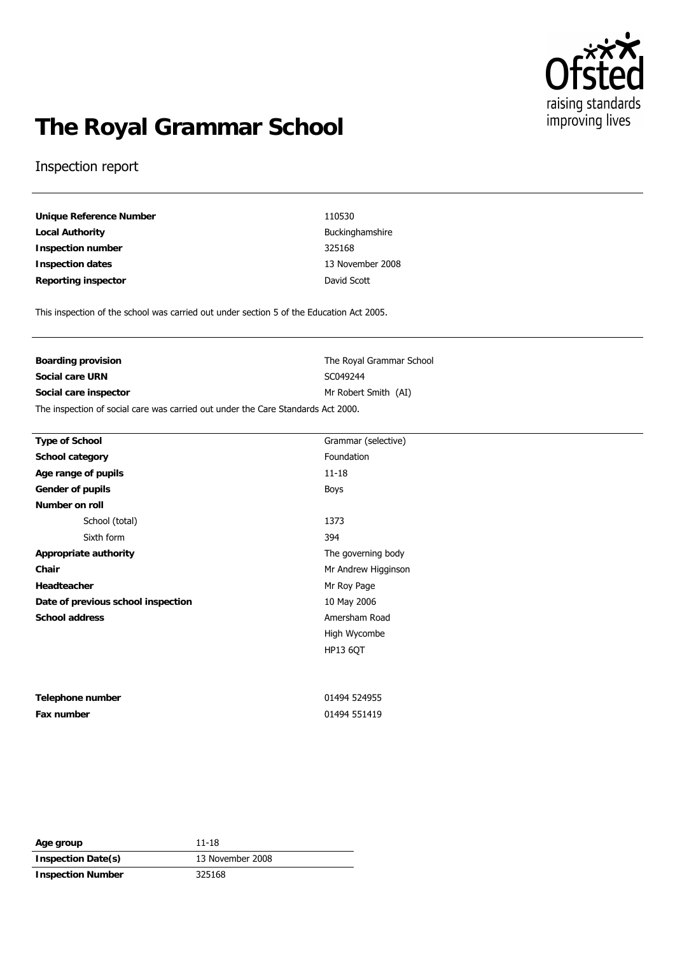

# **The Royal Grammar School**

### Inspection report

**Unique Reference Number** 110530 **Local Authority Buckinghamshire Inspection number** 325168 **Inspection dates** 13 November 2008 **Reporting inspector David Scott** 

This inspection of the school was carried out under section 5 of the Education Act 2005.

| Boarding provision                                                               | The Royal Grammar School |  |
|----------------------------------------------------------------------------------|--------------------------|--|
| Social care URN                                                                  | SC049244                 |  |
| Social care inspector                                                            | Mr Robert Smith (AI)     |  |
| The inspection of social care was carried out under the Care Standards Act 2000. |                          |  |

| Type of School                     | Grammar (selective) |
|------------------------------------|---------------------|
| School category                    | Foundation          |
| Age range of pupils                | $11 - 18$           |
| Gender of pupils                   | Boys                |
| Number on roll                     |                     |
| School (total)                     | 1373                |
| Sixth form                         | 394                 |
| Appropriate authority              | The governing body  |
| Chair                              | Mr Andrew Higginson |
| Headteacher                        | Mr Roy Page         |
| Date of previous school inspection | 10 May 2006         |
| School address                     | Amersham Road       |
|                                    | High Wycombe        |
|                                    | <b>HP13 6QT</b>     |
|                                    |                     |
|                                    |                     |
| Telephone number                   | 01494 524955        |
| Fax number                         | 01494 551419        |

| Age group                | 11-18            |
|--------------------------|------------------|
| Inspection Date(s)       | 13 November 2008 |
| <b>Inspection Number</b> | 325168           |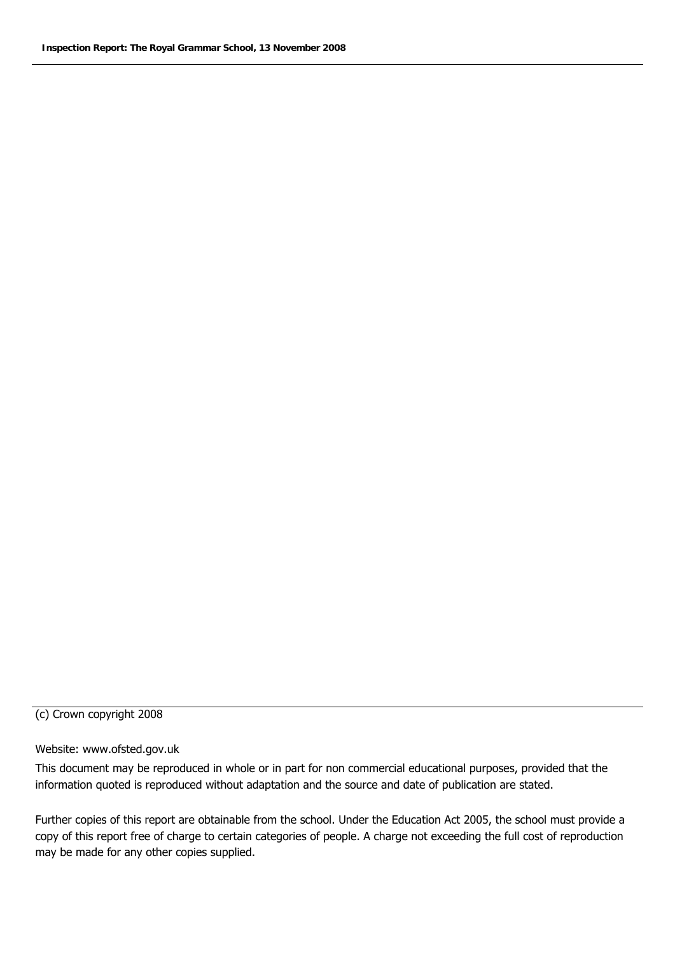### (c) Crown copyright 2008

### Website: www.ofsted.gov.uk

This document may be reproduced in whole or in part for non commercial educational purposes, provided that the information quoted is reproduced without adaptation and the source and date of publication are stated.

Further copies of this report are obtainable from the school. Under the Education Act 2005, the school must provide a copy of this report free of charge to certain categories of people. A charge not exceeding the full cost of reproduction may be made for any other copies supplied.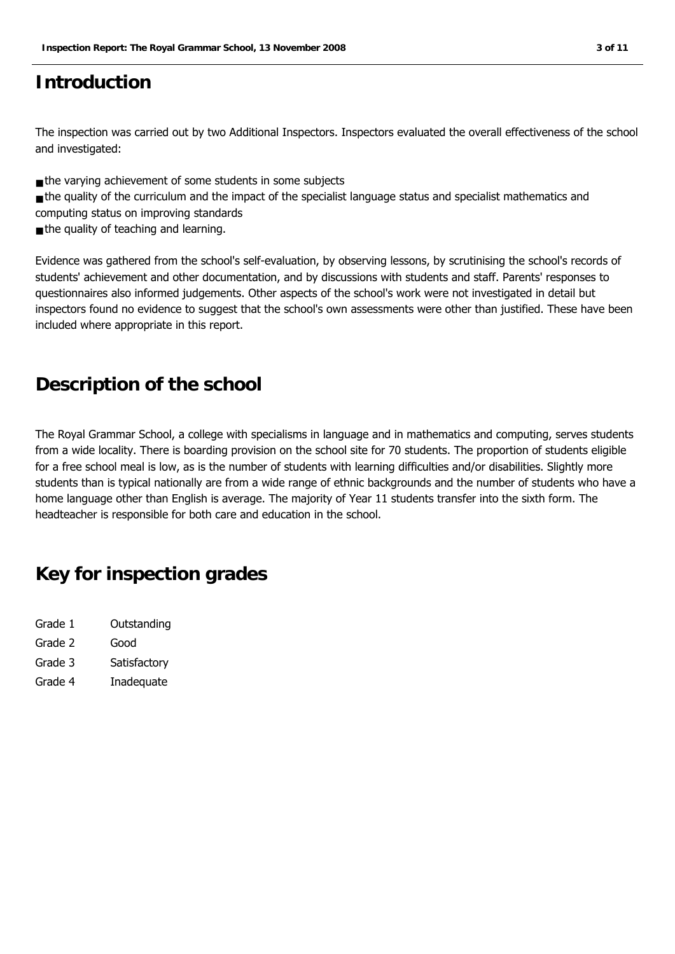## **Introduction**

The inspection was carried out by two Additional Inspectors. Inspectors evaluated the overall effectiveness of the school and investigated:

- the varying achievement of some students in some subjects
- the quality of the curriculum and the impact of the specialist language status and specialist mathematics and computing status on improving standards
- the quality of teaching and learning.

Evidence was gathered from the school's self-evaluation, by observing lessons, by scrutinising the school's records of students' achievement and other documentation, and by discussions with students and staff. Parents' responses to questionnaires also informed judgements. Other aspects of the school's work were not investigated in detail but inspectors found no evidence to suggest that the school's own assessments were other than justified. These have been included where appropriate in this report.

## **Description of the school**

The Royal Grammar School, a college with specialisms in language and in mathematics and computing, serves students from a wide locality. There is boarding provision on the school site for 70 students. The proportion of students eligible for a free school meal is low, as is the number of students with learning difficulties and/or disabilities. Slightly more students than is typical nationally are from a wide range of ethnic backgrounds and the number of students who have a home language other than English is average. The majority of Year 11 students transfer into the sixth form. The headteacher is responsible for both care and education in the school.

## **Key for inspection grades**

- Grade 1 Outstanding Grade 2 Good Grade 3 Satisfactory
- Grade 4 Inadequate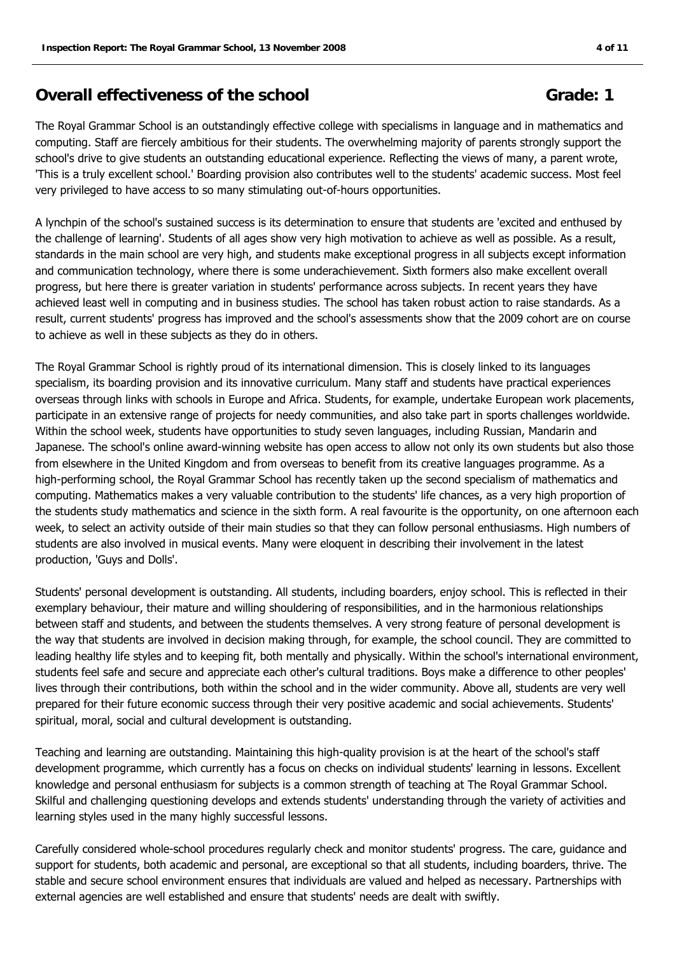### **Overall effectiveness of the school Grade: 1 Grade: 1**

The Royal Grammar School is an outstandingly effective college with specialisms in language and in mathematics and computing. Staff are fiercely ambitious for their students. The overwhelming majority of parents strongly support the school's drive to give students an outstanding educational experience. Reflecting the views of many, a parent wrote, 'This is a truly excellent school.' Boarding provision also contributes well to the students' academic success. Most feel very privileged to have access to so many stimulating out-of-hours opportunities.

A lynchpin of the school's sustained success is its determination to ensure that students are 'excited and enthused by the challenge of learning'. Students of all ages show very high motivation to achieve as well as possible. As a result, standards in the main school are very high, and students make exceptional progress in all subjects except information and communication technology, where there is some underachievement. Sixth formers also make excellent overall progress, but here there is greater variation in students' performance across subjects. In recent years they have achieved least well in computing and in business studies. The school has taken robust action to raise standards. As a result, current students' progress has improved and the school's assessments show that the 2009 cohort are on course to achieve as well in these subjects as they do in others.

The Royal Grammar School is rightly proud of its international dimension. This is closely linked to its languages specialism, its boarding provision and its innovative curriculum. Many staff and students have practical experiences overseas through links with schools in Europe and Africa. Students, for example, undertake European work placements, participate in an extensive range of projects for needy communities, and also take part in sports challenges worldwide. Within the school week, students have opportunities to study seven languages, including Russian, Mandarin and Japanese. The school's online award-winning website has open access to allow not only its own students but also those from elsewhere in the United Kingdom and from overseas to benefit from its creative languages programme. As a high-performing school, the Royal Grammar School has recently taken up the second specialism of mathematics and computing. Mathematics makes a very valuable contribution to the students' life chances, as a very high proportion of the students study mathematics and science in the sixth form. A real favourite is the opportunity, on one afternoon each week, to select an activity outside of their main studies so that they can follow personal enthusiasms. High numbers of students are also involved in musical events. Many were eloquent in describing their involvement in the latest production, 'Guys and Dolls'.

Students' personal development is outstanding. All students, including boarders, enjoy school. This is reflected in their exemplary behaviour, their mature and willing shouldering of responsibilities, and in the harmonious relationships between staff and students, and between the students themselves. A very strong feature of personal development is the way that students are involved in decision making through, for example, the school council. They are committed to leading healthy life styles and to keeping fit, both mentally and physically. Within the school's international environment, students feel safe and secure and appreciate each other's cultural traditions. Boys make a difference to other peoples' lives through their contributions, both within the school and in the wider community. Above all, students are very well prepared for their future economic success through their very positive academic and social achievements. Students' spiritual, moral, social and cultural development is outstanding.

Teaching and learning are outstanding. Maintaining this high-quality provision is at the heart of the school's staff development programme, which currently has a focus on checks on individual students' learning in lessons. Excellent knowledge and personal enthusiasm for subjects is a common strength of teaching at The Royal Grammar School. Skilful and challenging questioning develops and extends students' understanding through the variety of activities and learning styles used in the many highly successful lessons.

Carefully considered whole-school procedures regularly check and monitor students' progress. The care, guidance and support for students, both academic and personal, are exceptional so that all students, including boarders, thrive. The stable and secure school environment ensures that individuals are valued and helped as necessary. Partnerships with external agencies are well established and ensure that students' needs are dealt with swiftly.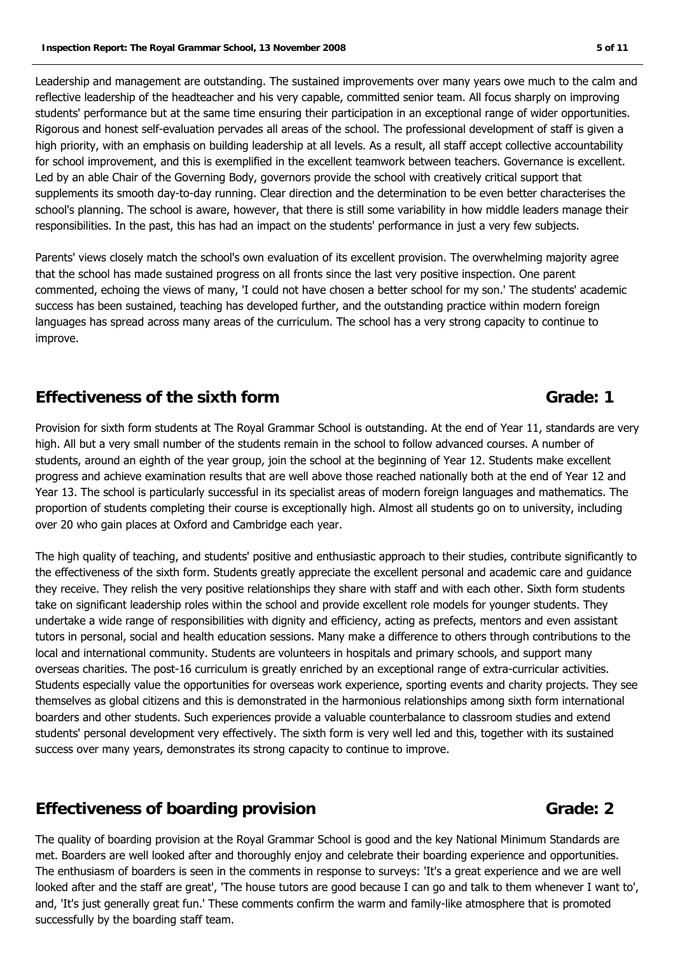Leadership and management are outstanding. The sustained improvements over many years owe much to the calm and reflective leadership of the headteacher and his very capable, committed senior team. All focus sharply on improving students' performance but at the same time ensuring their participation in an exceptional range of wider opportunities. Rigorous and honest self-evaluation pervades all areas of the school. The professional development of staff is given a high priority, with an emphasis on building leadership at all levels. As a result, all staff accept collective accountability for school improvement, and this is exemplified in the excellent teamwork between teachers. Governance is excellent. Led by an able Chair of the Governing Body, governors provide the school with creatively critical support that supplements its smooth day-to-day running. Clear direction and the determination to be even better characterises the school's planning. The school is aware, however, that there is still some variability in how middle leaders manage their responsibilities. In the past, this has had an impact on the students' performance in just a very few subjects.

Parents' views closely match the school's own evaluation of its excellent provision. The overwhelming majority agree that the school has made sustained progress on all fronts since the last very positive inspection. One parent commented, echoing the views of many, 'I could not have chosen a better school for my son.' The students' academic success has been sustained, teaching has developed further, and the outstanding practice within modern foreign languages has spread across many areas of the curriculum. The school has a very strong capacity to continue to improve.

### **Effectiveness of the sixth form Grade: 1**

Provision for sixth form students at The Royal Grammar School is outstanding. At the end of Year 11, standards are very high. All but a very small number of the students remain in the school to follow advanced courses. A number of students, around an eighth of the year group, join the school at the beginning of Year 12. Students make excellent progress and achieve examination results that are well above those reached nationally both at the end of Year 12 and Year 13. The school is particularly successful in its specialist areas of modern foreign languages and mathematics. The proportion of students completing their course is exceptionally high. Almost all students go on to university, including over 20 who gain places at Oxford and Cambridge each year.

The high quality of teaching, and students' positive and enthusiastic approach to their studies, contribute significantly to the effectiveness of the sixth form. Students greatly appreciate the excellent personal and academic care and guidance they receive. They relish the very positive relationships they share with staff and with each other. Sixth form students take on significant leadership roles within the school and provide excellent role models for younger students. They undertake a wide range of responsibilities with dignity and efficiency, acting as prefects, mentors and even assistant tutors in personal, social and health education sessions. Many make a difference to others through contributions to the local and international community. Students are volunteers in hospitals and primary schools, and support many overseas charities. The post-16 curriculum is greatly enriched by an exceptional range of extra-curricular activities. Students especially value the opportunities for overseas work experience, sporting events and charity projects. They see themselves as global citizens and this is demonstrated in the harmonious relationships among sixth form international boarders and other students. Such experiences provide a valuable counterbalance to classroom studies and extend students' personal development very effectively. The sixth form is very well led and this, together with its sustained success over many years, demonstrates its strong capacity to continue to improve.

### **Effectiveness of boarding provision Grade: 2 Grade: 2**

The quality of boarding provision at the Royal Grammar School is good and the key National Minimum Standards are met. Boarders are well looked after and thoroughly enjoy and celebrate their boarding experience and opportunities. The enthusiasm of boarders is seen in the comments in response to surveys: 'It's a great experience and we are well looked after and the staff are great', 'The house tutors are good because I can go and talk to them whenever I want to', and, 'It's just generally great fun.' These comments confirm the warm and family-like atmosphere that is promoted successfully by the boarding staff team.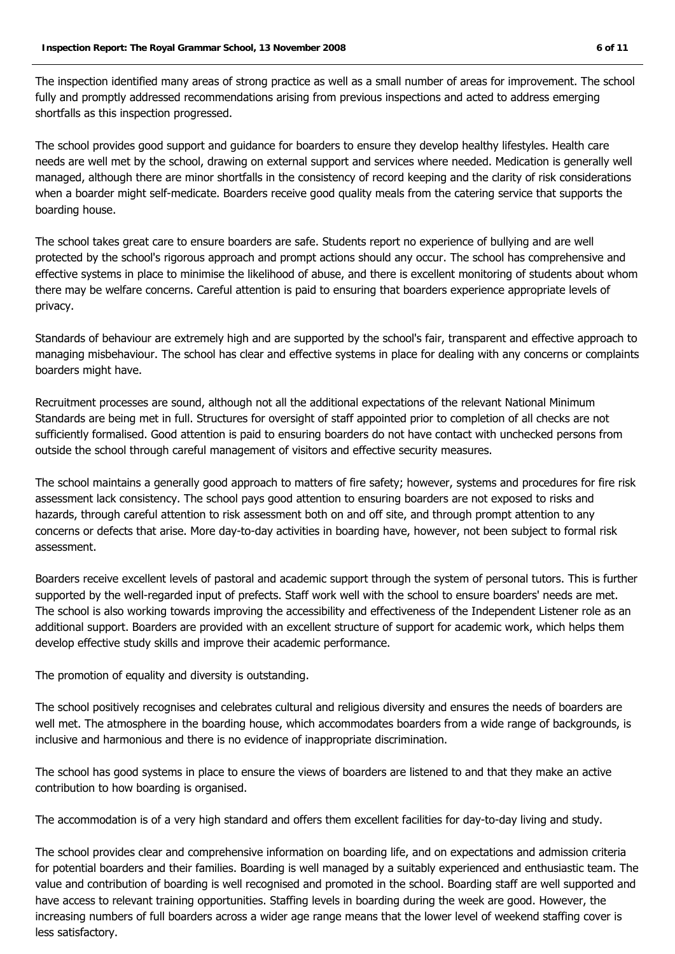The inspection identified many areas of strong practice as well as a small number of areas for improvement. The school fully and promptly addressed recommendations arising from previous inspections and acted to address emerging shortfalls as this inspection progressed.

The school provides good support and guidance for boarders to ensure they develop healthy lifestyles. Health care needs are well met by the school, drawing on external support and services where needed. Medication is generally well managed, although there are minor shortfalls in the consistency of record keeping and the clarity of risk considerations when a boarder might self-medicate. Boarders receive good quality meals from the catering service that supports the boarding house.

The school takes great care to ensure boarders are safe. Students report no experience of bullying and are well protected by the school's rigorous approach and prompt actions should any occur. The school has comprehensive and effective systems in place to minimise the likelihood of abuse, and there is excellent monitoring of students about whom there may be welfare concerns. Careful attention is paid to ensuring that boarders experience appropriate levels of privacy.

Standards of behaviour are extremely high and are supported by the school's fair, transparent and effective approach to managing misbehaviour. The school has clear and effective systems in place for dealing with any concerns or complaints boarders might have.

Recruitment processes are sound, although not all the additional expectations of the relevant National Minimum Standards are being met in full. Structures for oversight of staff appointed prior to completion of all checks are not sufficiently formalised. Good attention is paid to ensuring boarders do not have contact with unchecked persons from outside the school through careful management of visitors and effective security measures.

The school maintains a generally good approach to matters of fire safety; however, systems and procedures for fire risk assessment lack consistency. The school pays good attention to ensuring boarders are not exposed to risks and hazards, through careful attention to risk assessment both on and off site, and through prompt attention to any concerns or defects that arise. More day-to-day activities in boarding have, however, not been subject to formal risk assessment.

Boarders receive excellent levels of pastoral and academic support through the system of personal tutors. This is further supported by the well-regarded input of prefects. Staff work well with the school to ensure boarders' needs are met. The school is also working towards improving the accessibility and effectiveness of the Independent Listener role as an additional support. Boarders are provided with an excellent structure of support for academic work, which helps them develop effective study skills and improve their academic performance.

The promotion of equality and diversity is outstanding.

The school positively recognises and celebrates cultural and religious diversity and ensures the needs of boarders are well met. The atmosphere in the boarding house, which accommodates boarders from a wide range of backgrounds, is inclusive and harmonious and there is no evidence of inappropriate discrimination.

The school has good systems in place to ensure the views of boarders are listened to and that they make an active contribution to how boarding is organised.

The accommodation is of a very high standard and offers them excellent facilities for day-to-day living and study.

The school provides clear and comprehensive information on boarding life, and on expectations and admission criteria for potential boarders and their families. Boarding is well managed by a suitably experienced and enthusiastic team. The value and contribution of boarding is well recognised and promoted in the school. Boarding staff are well supported and have access to relevant training opportunities. Staffing levels in boarding during the week are good. However, the increasing numbers of full boarders across a wider age range means that the lower level of weekend staffing cover is less satisfactory.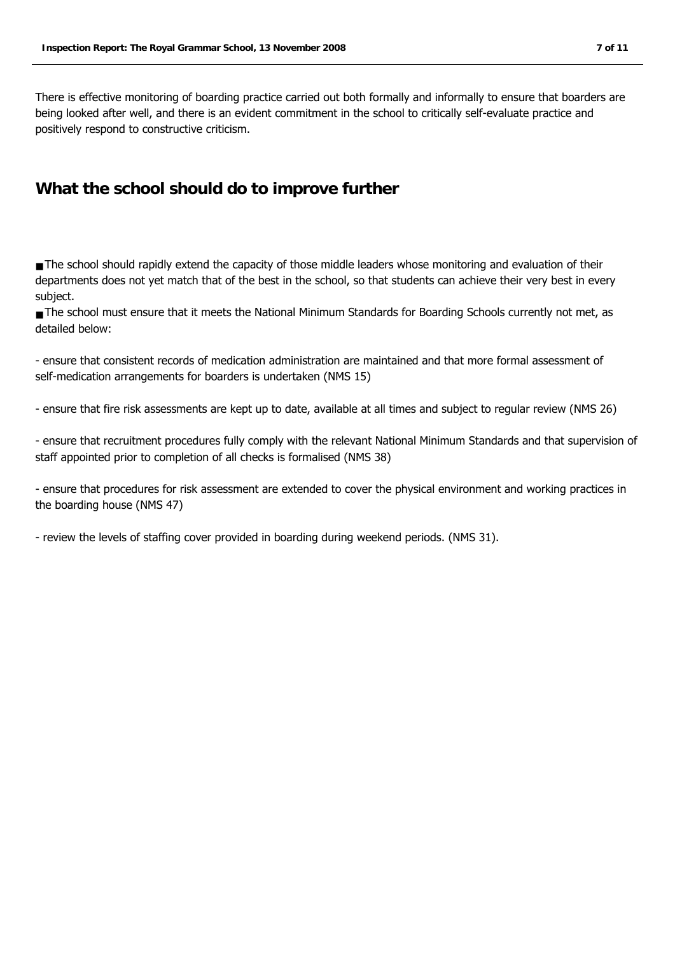There is effective monitoring of boarding practice carried out both formally and informally to ensure that boarders are being looked after well, and there is an evident commitment in the school to critically self-evaluate practice and positively respond to constructive criticism.

### **What the school should do to improve further**

■ The school should rapidly extend the capacity of those middle leaders whose monitoring and evaluation of their departments does not yet match that of the best in the school, so that students can achieve their very best in every subject.

■ The school must ensure that it meets the National Minimum Standards for Boarding Schools currently not met, as detailed below:

- ensure that consistent records of medication administration are maintained and that more formal assessment of self-medication arrangements for boarders is undertaken (NMS 15)

- ensure that fire risk assessments are kept up to date, available at all times and subject to regular review (NMS 26)

- ensure that recruitment procedures fully comply with the relevant National Minimum Standards and that supervision of staff appointed prior to completion of all checks is formalised (NMS 38)

- ensure that procedures for risk assessment are extended to cover the physical environment and working practices in the boarding house (NMS 47)

- review the levels of staffing cover provided in boarding during weekend periods. (NMS 31).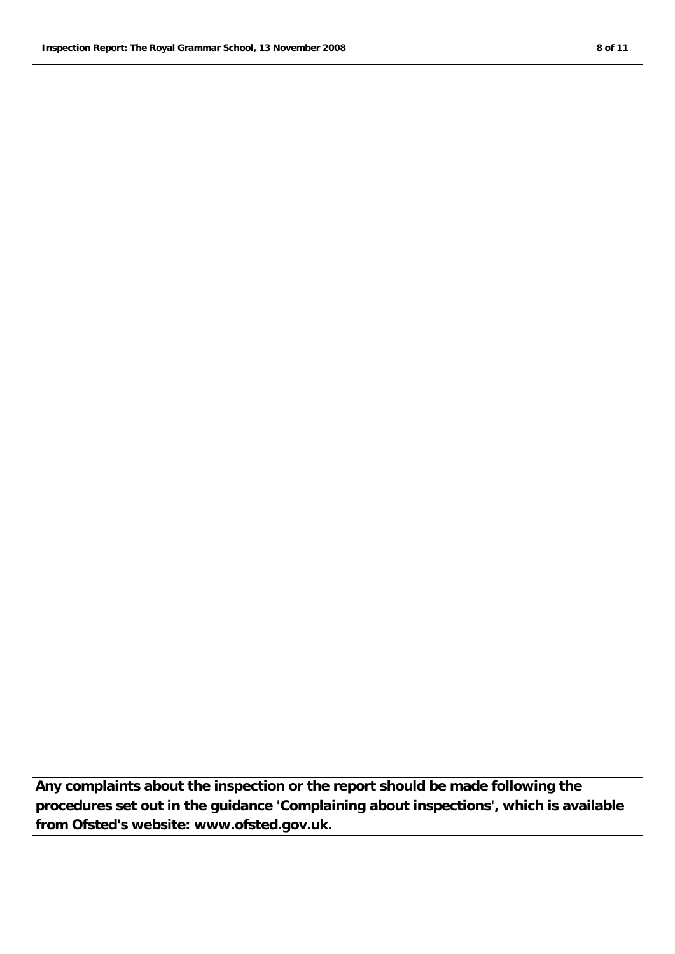**Any complaints about the inspection or the report should be made following the procedures set out in the guidance 'Complaining about inspections', which is available from Ofsted's website: www.ofsted.gov.uk.**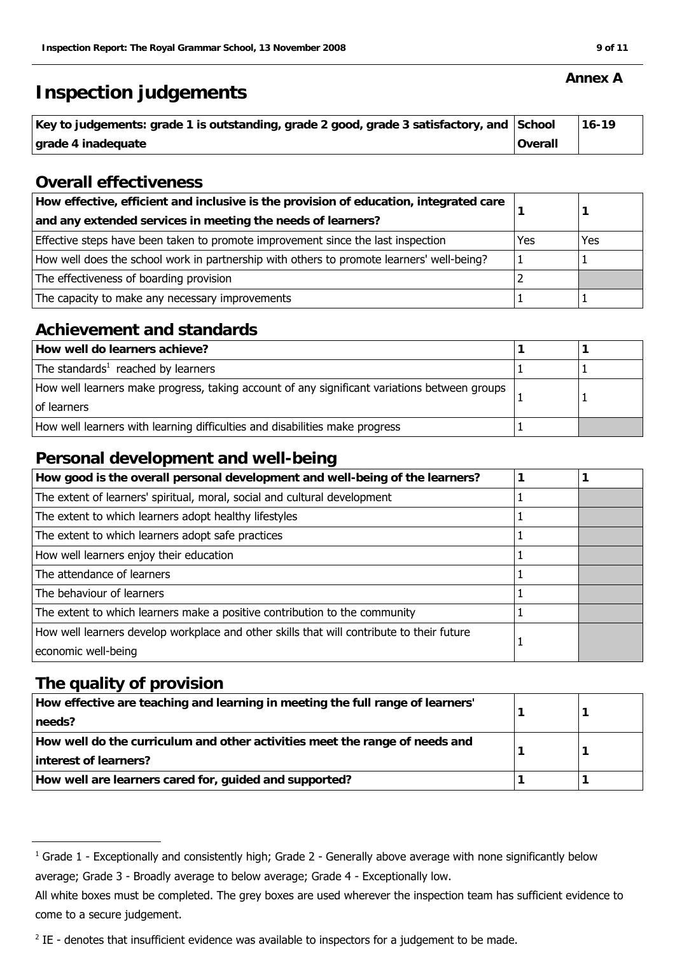## **Inspection judgements**

| Key to judgements: grade 1 is outstanding, grade 2 good, grade 3 satisfactory, and School |         | 16-19 |
|-------------------------------------------------------------------------------------------|---------|-------|
| grade 4 inadequate                                                                        | Overall |       |

### **Overall effectiveness**

| How effective, efficient and inclusive is the provision of education, integrated care<br>and any extended services in meeting the needs of learners? |     |     |
|------------------------------------------------------------------------------------------------------------------------------------------------------|-----|-----|
| Effective steps have been taken to promote improvement since the last inspection                                                                     | Yes | Yes |
| How well does the school work in partnership with others to promote learners' well-being?                                                            |     |     |
| The effectiveness of boarding provision                                                                                                              |     |     |
| The capacity to make any necessary improvements                                                                                                      |     |     |

### **Achievement and standards**

| How well do learners achieve?                                                                               |  |
|-------------------------------------------------------------------------------------------------------------|--|
| The standards <sup>1</sup> reached by learners                                                              |  |
| How well learners make progress, taking account of any significant variations between groups<br>of learners |  |
| How well learners with learning difficulties and disabilities make progress                                 |  |

### **Personal development and well-being**

| How good is the overall personal development and well-being of the learners?              |  |
|-------------------------------------------------------------------------------------------|--|
| The extent of learners' spiritual, moral, social and cultural development                 |  |
| The extent to which learners adopt healthy lifestyles                                     |  |
| The extent to which learners adopt safe practices                                         |  |
| How well learners enjoy their education                                                   |  |
| The attendance of learners                                                                |  |
| The behaviour of learners                                                                 |  |
| The extent to which learners make a positive contribution to the community                |  |
| How well learners develop workplace and other skills that will contribute to their future |  |
| economic well-being                                                                       |  |

### **The quality of provision**

| How effective are teaching and learning in meeting the full range of learners' |  |
|--------------------------------------------------------------------------------|--|
| needs?                                                                         |  |
| How well do the curriculum and other activities meet the range of needs and    |  |
| interest of learners?                                                          |  |
| How well are learners cared for, guided and supported?                         |  |

 $^1$  Grade 1 - Exceptionally and consistently high; Grade 2 - Generally above average with none significantly below

average; Grade 3 - Broadly average to below average; Grade 4 - Exceptionally low.

All white boxes must be completed. The grey boxes are used wherever the inspection team has sufficient evidence to come to a secure judgement.

 $2$  IE - denotes that insufficient evidence was available to inspectors for a judgement to be made.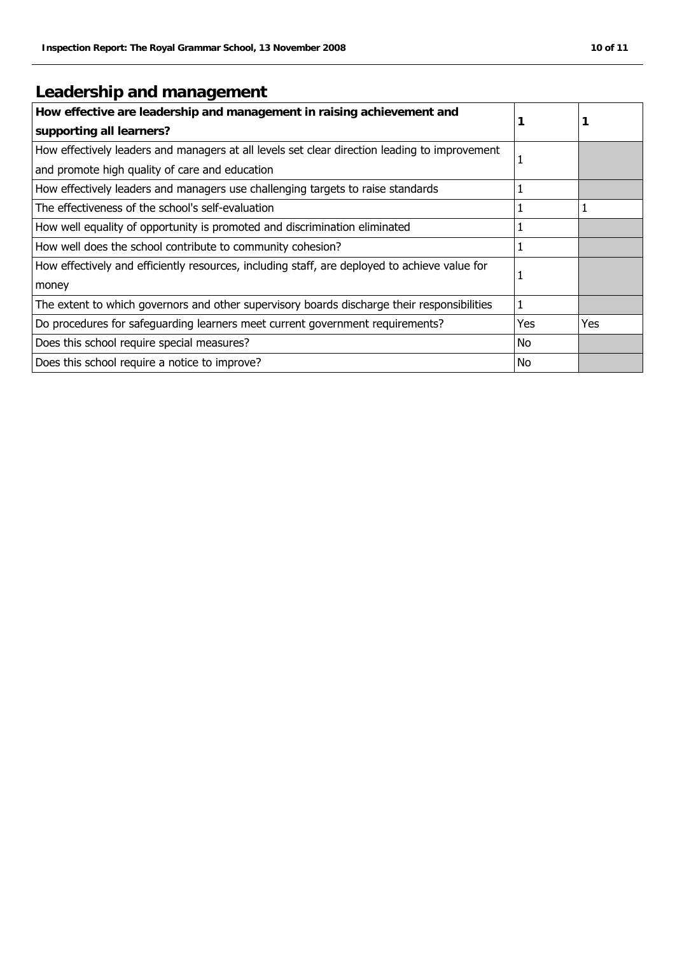## **Leadership and management**

| How effective are leadership and management in raising achievement and<br>supporting all learners? |            | 1   |
|----------------------------------------------------------------------------------------------------|------------|-----|
| How effectively leaders and managers at all levels set clear direction leading to improvement      | 1          |     |
| and promote high quality of care and education                                                     |            |     |
| How effectively leaders and managers use challenging targets to raise standards                    |            |     |
| The effectiveness of the school's self-evaluation                                                  | 1          |     |
| How well equality of opportunity is promoted and discrimination eliminated                         | 1          |     |
| How well does the school contribute to community cohesion?                                         | 1          |     |
| How effectively and efficiently resources, including staff, are deployed to achieve value for      | 1          |     |
| money                                                                                              |            |     |
| The extent to which governors and other supervisory boards discharge their responsibilities        | 1          |     |
| Do procedures for safeguarding learners meet current government requirements?                      | <b>Yes</b> | Yes |
| Does this school require special measures?                                                         | No         |     |
| Does this school require a notice to improve?                                                      | <b>No</b>  |     |